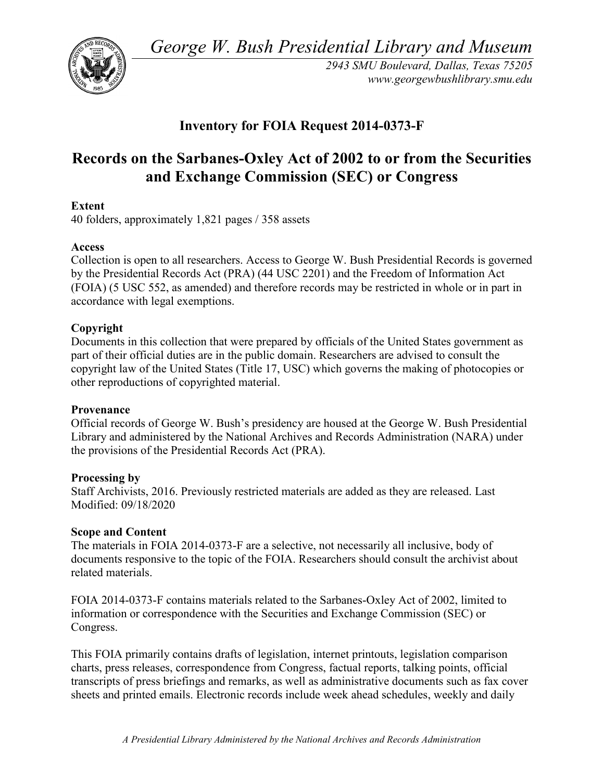*George W. Bush Presidential Library and Museum* 



 *2943 SMU Boulevard, Dallas, Texas 75205 <www.georgewbushlibrary.smu.edu>*

## **Inventory for FOIA Request 2014-0373-F**

# **Records on the Sarbanes-Oxley Act of 2002 to or from the Securities and Exchange Commission (SEC) or Congress**

## **Extent**

40 folders, approximately 1,821 pages / 358 assets

## **Access**

 by the Presidential Records Act (PRA) (44 USC 2201) and the Freedom of Information Act Collection is open to all researchers. Access to George W. Bush Presidential Records is governed (FOIA) (5 USC 552, as amended) and therefore records may be restricted in whole or in part in accordance with legal exemptions.

## **Copyright**

 Documents in this collection that were prepared by officials of the United States government as part of their official duties are in the public domain. Researchers are advised to consult the copyright law of the United States (Title 17, USC) which governs the making of photocopies or other reproductions of copyrighted material.

#### **Provenance**

 Official records of George W. Bush's presidency are housed at the George W. Bush Presidential Library and administered by the National Archives and Records Administration (NARA) under the provisions of the Presidential Records Act (PRA).

#### **Processing by**

 Modified: 09/18/2020 Staff Archivists, 2016. Previously restricted materials are added as they are released. Last

#### **Scope and Content**

The materials in FOIA 2014-0373-F are a selective, not necessarily all inclusive, body of documents responsive to the topic of the FOIA. Researchers should consult the archivist about related materials.

FOIA 2014-0373-F contains materials related to the Sarbanes-Oxley Act of 2002, limited to information or correspondence with the Securities and Exchange Commission (SEC) or Congress.

 This FOIA primarily contains drafts of legislation, internet printouts, legislation comparison charts, press releases, correspondence from Congress, factual reports, talking points, official transcripts of press briefings and remarks, as well as administrative documents such as fax cover sheets and printed emails. Electronic records include week ahead schedules, weekly and daily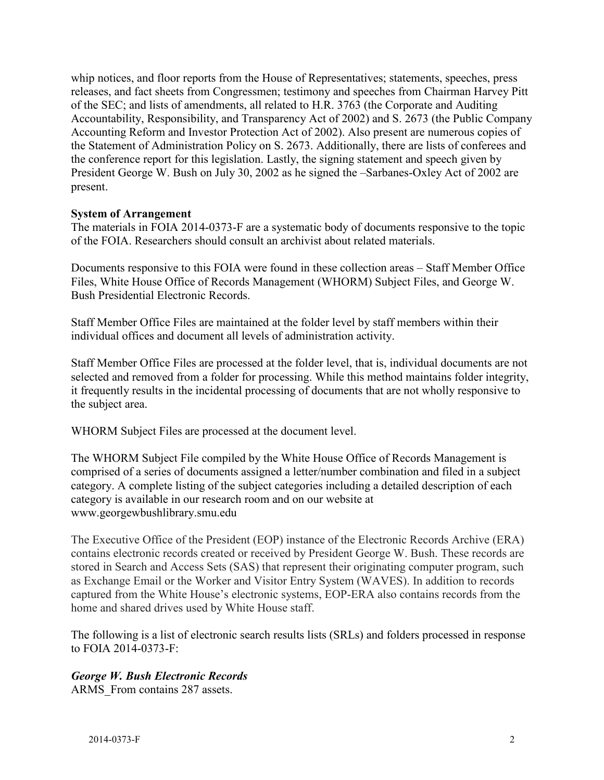the conference report for this legislation. Lastly, the signing statement and speech given by President George W. Bush on July 30, 2002 as he signed the –Sarbanes-Oxley Act of 2002 are whip notices, and floor reports from the House of Representatives; statements, speeches, press releases, and fact sheets from Congressmen; testimony and speeches from Chairman Harvey Pitt of the SEC; and lists of amendments, all related to H.R. 3763 (the Corporate and Auditing Accountability, Responsibility, and Transparency Act of 2002) and S. 2673 (the Public Company Accounting Reform and Investor Protection Act of 2002). Also present are numerous copies of the Statement of Administration Policy on S. 2673. Additionally, there are lists of conferees and present.

#### **System of Arrangement**

The materials in FOIA 2014-0373-F are a systematic body of documents responsive to the topic of the FOIA. Researchers should consult an archivist about related materials.

Documents responsive to this FOIA were found in these collection areas – Staff Member Office Files, White House Office of Records Management (WHORM) Subject Files, and George W. Bush Presidential Electronic Records.

Staff Member Office Files are maintained at the folder level by staff members within their individual offices and document all levels of administration activity.

 selected and removed from a folder for processing. While this method maintains folder integrity, Staff Member Office Files are processed at the folder level, that is, individual documents are not it frequently results in the incidental processing of documents that are not wholly responsive to the subject area.

WHORM Subject Files are processed at the document level.

The WHORM Subject File compiled by the White House Office of Records Management is comprised of a series of documents assigned a letter/number combination and filed in a subject category. A complete listing of the subject categories including a detailed description of each category is available in our research room and on our website at <www.georgewbushlibrary.smu.edu>

 The Executive Office of the President (EOP) instance of the Electronic Records Archive (ERA) contains electronic records created or received by President George W. Bush. These records are stored in Search and Access Sets (SAS) that represent their originating computer program, such as Exchange Email or the Worker and Visitor Entry System (WAVES). In addition to records captured from the White House's electronic systems, EOP-ERA also contains records from the home and shared drives used by White House staff.

 The following is a list of electronic search results lists (SRLs) and folders processed in response to FOIA 2014-0373-F:

## *George W. Bush Electronic Records*

ARMS From contains 287 assets.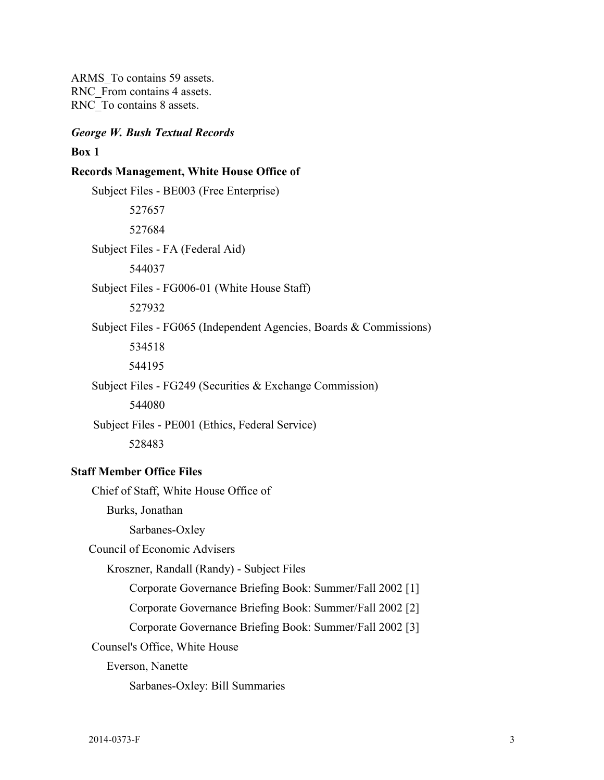ARMS\_To contains 59 assets. RNC From contains 4 assets. RNC To contains 8 assets.

#### *George W. Bush Textual Records*

#### **Box 1**

#### **Records Management, White House Office of**

Subject Files - BE003 (Free Enterprise) 527657 527684 Subject Files - FA (Federal Aid) 544037 Subject Files - FG006-01 (White House Staff) 527932 Subject Files - FG065 (Independent Agencies, Boards & Commissions) 534518 544195 Subject Files - FG249 (Securities & Exchange Commission) 544080 Subject Files - PE001 (Ethics, Federal Service) 528483

#### **Staff Member Office Files**

Chief of Staff, White House Office of

Burks, Jonathan

Sarbanes-Oxley

Council of Economic Advisers

Kroszner, Randall (Randy) - Subject Files

Corporate Governance Briefing Book: Summer/Fall 2002 [1]

Corporate Governance Briefing Book: Summer/Fall 2002 [2]

Corporate Governance Briefing Book: Summer/Fall 2002 [3]

Counsel's Office, White House

Everson, Nanette

Sarbanes-Oxley: Bill Summaries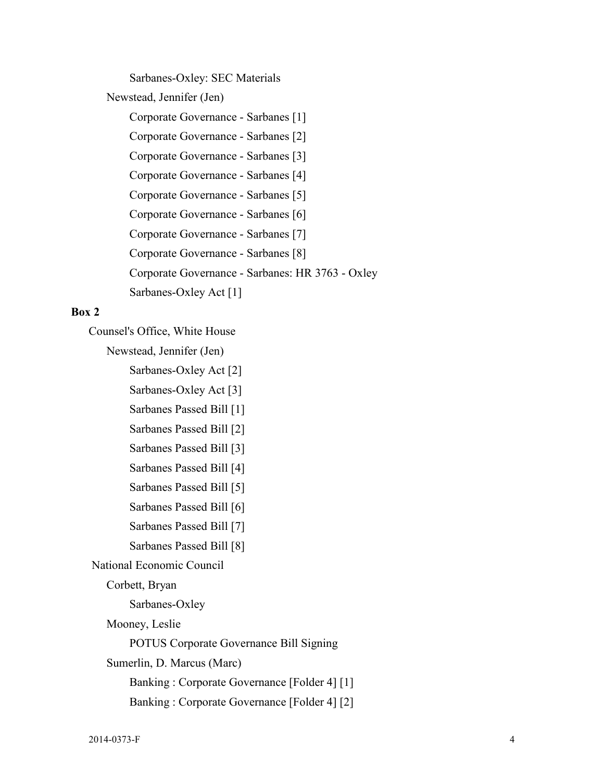Sarbanes-Oxley: SEC Materials

Newstead, Jennifer (Jen)

Corporate Governance - Sarbanes [1]

Corporate Governance - Sarbanes [2]

Corporate Governance - Sarbanes [3]

Corporate Governance - Sarbanes [4]

Corporate Governance - Sarbanes [5]

Corporate Governance - Sarbanes [6]

Corporate Governance - Sarbanes [7]

Corporate Governance - Sarbanes [8]

Corporate Governance - Sarbanes: HR 3763 - Oxley

Sarbanes-Oxley Act [1]

#### **Box 2**

Counsel's Office, White House

Newstead, Jennifer (Jen)

Sarbanes-Oxley Act [2]

Sarbanes-Oxley Act [3]

Sarbanes Passed Bill [1]

- Sarbanes Passed Bill [2]
- Sarbanes Passed Bill [3]

Sarbanes Passed Bill [4]

- Sarbanes Passed Bill [5]
- Sarbanes Passed Bill [6]
- Sarbanes Passed Bill [7]
- Sarbanes Passed Bill [8]

National Economic Council

Corbett, Bryan

Sarbanes-Oxley

Mooney, Leslie

POTUS Corporate Governance Bill Signing

Sumerlin, D. Marcus (Marc)

Banking : Corporate Governance [Folder 4] [1]

Banking : Corporate Governance [Folder 4] [2]